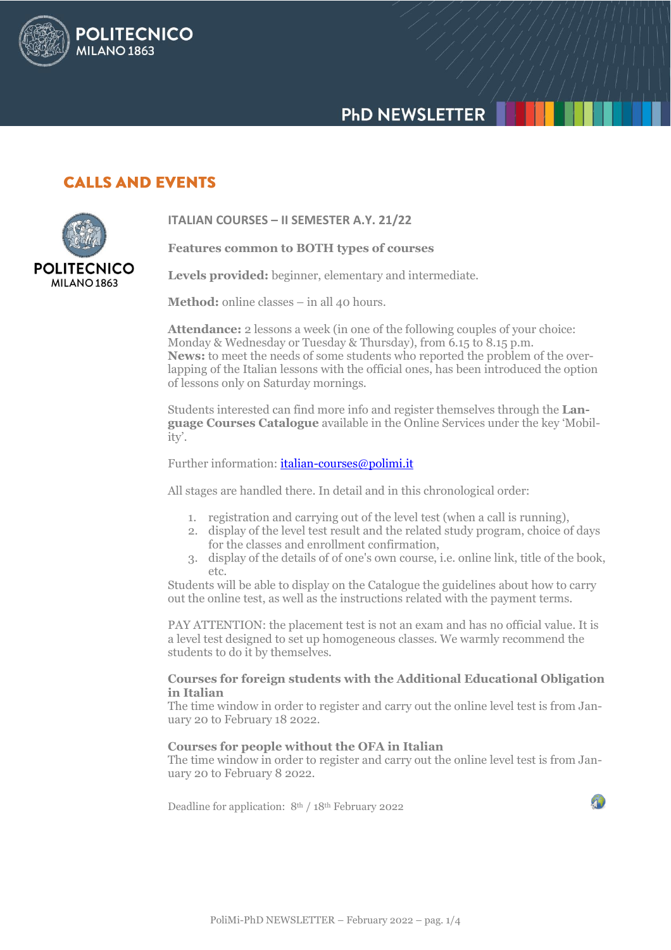# **PHD NEWSLETTER**

# **CALLS AND EVENTS**

**POLITECNICO** 

**MILANO 1863** 



**ITALIAN COURSES – II SEMESTER A.Y. 21/22**

**Features common to BOTH types of courses**

**Levels provided:** beginner, elementary and intermediate.

**Method:** online classes – in all 40 hours.

**Attendance:** 2 lessons a week (in one of the following couples of your choice: Monday & Wednesday or Tuesday & Thursday), from 6.15 to 8.15 p.m. **News:** to meet the needs of some students who reported the problem of the overlapping of the Italian lessons with the official ones, has been introduced the option of lessons only on Saturday mornings.

Students interested can find more info and register themselves through the **Language Courses Catalogue** available in the Online Services under the key 'Mobility'.

Further information[: italian-courses@polimi.it](mailto:italian-courses@polimi.it)

All stages are handled there. In detail and in this chronological order:

- 1. registration and carrying out of the level test (when a call is running),
- 2. display of the level test result and the related study program, choice of days for the classes and enrollment confirmation,
- 3. display of the details of of one's own course, i.e. online link, title of the book, etc.

Students will be able to display on the Catalogue the guidelines about how to carry out the online test, as well as the instructions related with the payment terms.

PAY ATTENTION: the placement test is not an exam and has no official value. It is a level test designed to set up homogeneous classes. We warmly recommend the students to do it by themselves.

### **Courses for foreign students with the Additional Educational Obligation in Italian**

The time window in order to register and carry out the online level test is from January 20 to February 18 2022.

## **Courses for people without the OFA in Italian**

The time window in order to register and carry out the online level test is from January 20 to February 8 2022.

Deadline for application: 8th / 18th February 2022

4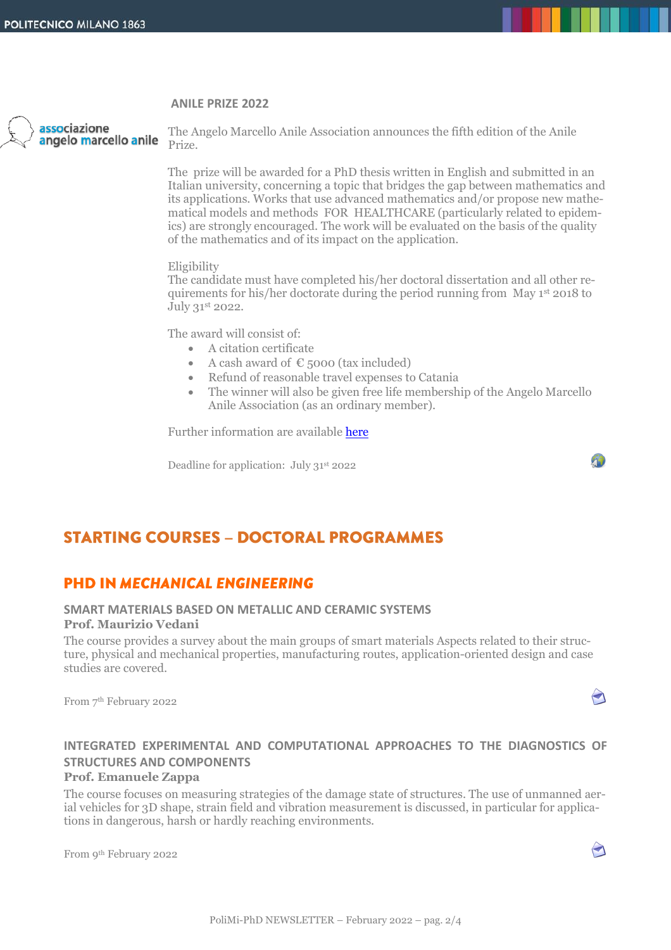### **ANILE PRIZE 2022**



The Angelo Marcello Anile Association announces the fifth edition of the Anile Prize.

The prize will be awarded for a PhD thesis written in English and submitted in an Italian university, concerning a topic that bridges the gap between mathematics and its applications. Works that use advanced mathematics and/or propose new mathematical models and methods FOR HEALTHCARE (particularly related to epidemics) are strongly encouraged. The work will be evaluated on the basis of the quality of the mathematics and of its impact on the application.

#### Eligibility

The candidate must have completed his/her doctoral dissertation and all other requirements for his/her doctorate during the period running from May  $1<sup>st</sup>$  2018 to July 31st 2022.

### The award will consist of:

- A citation certificate
- A cash award of  $E$  5000 (tax included)
- Refund of reasonable travel expenses to Catania
- The winner will also be given free life membership of the Angelo Marcello Anile Association (as an ordinary member).

Further information are available [here](http://www.assoama.it/premio-di-dottorato-anile-prize-2022/)

Deadline for application: July 31st 2022



# **STARTING COURSES - DOCTORAL PROGRAMMES**

# **PHD IN MECHANICAL ENGINEERING**

### **SMART MATERIALS BASED ON METALLIC AND CERAMIC SYSTEMS Prof. Maurizio Vedani**

The course provides a survey about the main groups of smart materials Aspects related to their structure, physical and mechanical properties, manufacturing routes, application-oriented design and case studies are covered.

From 7<sup>th</sup> February 2022

# **INTEGRATED EXPERIMENTAL AND COMPUTATIONAL APPROACHES TO THE DIAGNOSTICS OF STRUCTURES AND COMPONENTS**

### **Prof. Emanuele Zappa**

The course focuses on measuring strategies of the damage state of structures. The use of unmanned aerial vehicles for 3D shape, strain field and vibration measurement is discussed, in particular for applications in dangerous, harsh or hardly reaching environments.

From 9th February 2022

 $\blacktriangleright$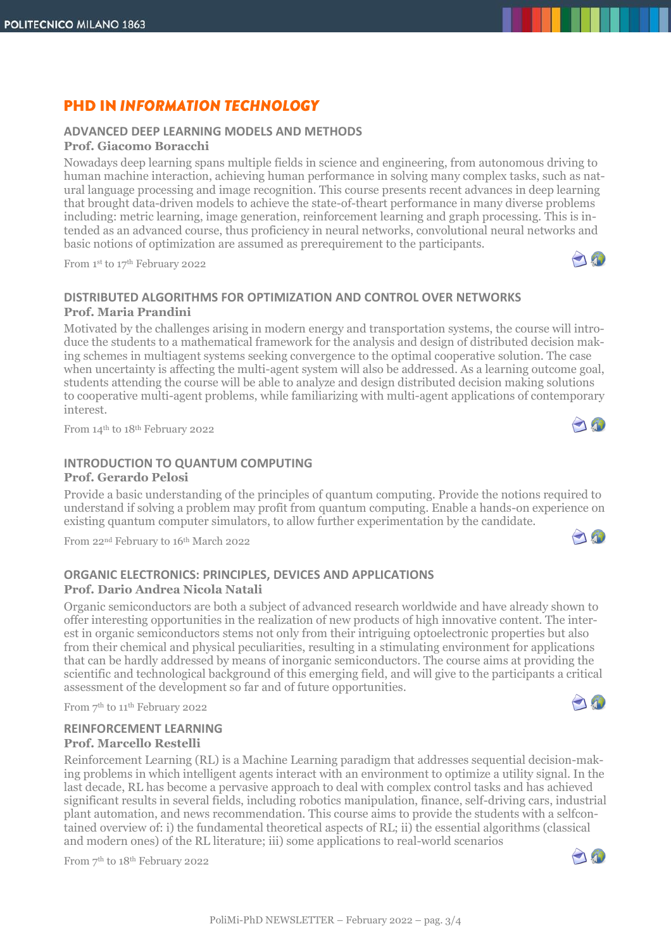# **PHD IN INFORMATION TECHNOLOGY**

# **ADVANCED DEEP LEARNING MODELS AND METHODS**

# **Prof. Giacomo Boracchi**

Nowadays deep learning spans multiple fields in science and engineering, from autonomous driving to human machine interaction, achieving human performance in solving many complex tasks, such as natural language processing and image recognition. This course presents recent advances in deep learning that brought data-driven models to achieve the state-of-theart performance in many diverse problems including: metric learning, image generation, reinforcement learning and graph processing. This is intended as an advanced course, thus proficiency in neural networks, convolutional neural networks and basic notions of optimization are assumed as prerequirement to the participants.

From 1 st to 17 th February 2022

# **DISTRIBUTED ALGORITHMS FOR OPTIMIZATION AND CONTROL OVER NETWORKS Prof. Maria Prandini**

Motivated by the challenges arising in modern energy and transportation systems, the course will introduce the students to a mathematical framework for the analysis and design of distributed decision making schemes in multiagent systems seeking convergence to the optimal cooperative solution. The case when uncertainty is affecting the multi-agent system will also be addressed. As a learning outcome goal, students attending the course will be able to analyze and design distributed decision making solutions to cooperative multi-agent problems, while familiarizing with multi-agent applications of contemporary interest.

From 14th to 18th February 2022

# **INTRODUCTION TO QUANTUM COMPUTING**

## **Prof. Gerardo Pelosi**

Provide a basic understanding of the principles of quantum computing. Provide the notions required to understand if solving a problem may profit from quantum computing. Enable a hands-on experience on existing quantum computer simulators, to allow further experimentation by the candidate.

From 22<sup>nd</sup> February to 16<sup>th</sup> March 2022

## **ORGANIC ELECTRONICS: PRINCIPLES, DEVICES AND APPLICATIONS Prof. Dario Andrea Nicola Natali**

Organic semiconductors are both a subject of advanced research worldwide and have already shown to offer interesting opportunities in the realization of new products of high innovative content. The interest in organic semiconductors stems not only from their intriguing optoelectronic properties but also from their chemical and physical peculiarities, resulting in a stimulating environment for applications that can be hardly addressed by means of inorganic semiconductors. The course aims at providing the scientific and technological background of this emerging field, and will give to the participants a critical assessment of the development so far and of future opportunities.

From 7th to 11th February 2022

## **REINFORCEMENT LEARNING Prof. Marcello Restelli**

Reinforcement Learning (RL) is a Machine Learning paradigm that addresses sequential decision-making problems in which intelligent agents interact with an environment to optimize a utility signal. In the last decade, RL has become a pervasive approach to deal with complex control tasks and has achieved significant results in several fields, including robotics manipulation, finance, self-driving cars, industrial plant automation, and news recommendation. This course aims to provide the students with a selfcontained overview of: i) the fundamental theoretical aspects of RL; ii) the essential algorithms (classical and modern ones) of the RL literature; iii) some applications to real-world scenarios

From 7th to 18th February 2022





10



19